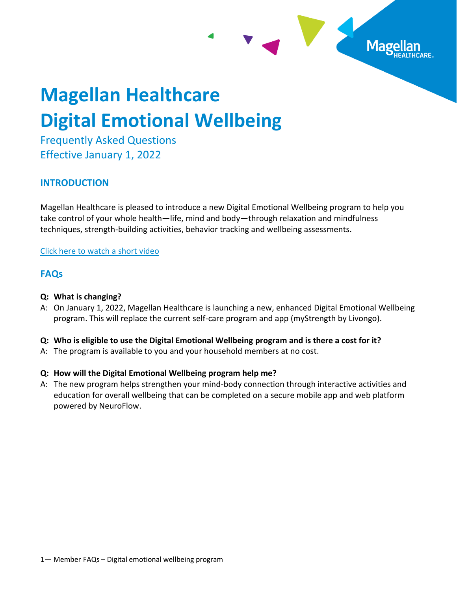# **Magellan Healthcare Digital Emotional Wellbeing**

Frequently Asked Questions Effective January 1, 2022

# **INTRODUCTION**

Magellan Healthcare is pleased to introduce a new Digital Emotional Wellbeing program to help you take control of your whole health—life, mind and body—through relaxation and mindfulness techniques, strength-building activities, behavior tracking and wellbeing assessments.

Mage

#### [Click here to watch a short](https://vimeo.com/622749283) video

# **FAQs**

### **Q: What is changing?**

A: On January 1, 2022, Magellan Healthcare is launching a new, enhanced Digital Emotional Wellbeing program. This will replace the current self-care program and app (myStrength by Livongo).

#### **Q: Who is eligible to use the Digital Emotional Wellbeing program and is there a cost for it?**

A: The program is available to you and your household members at no cost.

# **Q: How will the Digital Emotional Wellbeing program help me?**

A: The new program helps strengthen your mind-body connection through interactive activities and education for overall wellbeing that can be completed on a secure mobile app and web platform powered by NeuroFlow.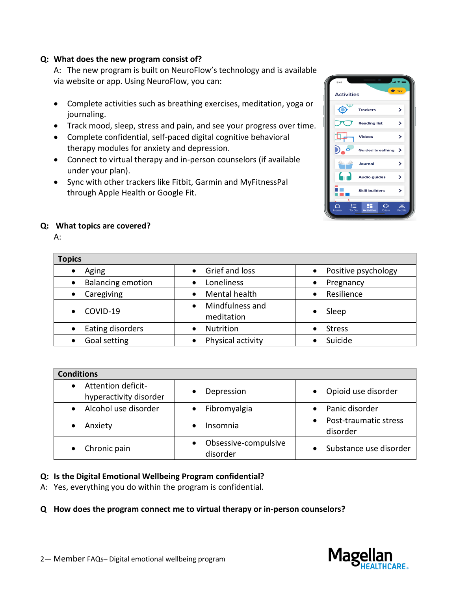#### **Q: What does the new program consist of?**

A: The new program is built on NeuroFlow's technology and is available via website or app. Using NeuroFlow, you can:

- Complete activities such as breathing exercises, meditation, yoga or journaling.
- Track mood, sleep, stress and pain, and see your progress over time.
- Complete confidential, self-paced digital cognitive behavioral therapy modules for anxiety and depression.
- Connect to virtual therapy and in-person counselors (if available under your plan).
- Sync with other trackers like Fitbit, Garmin and MyFitnessPal through Apple Health or Google Fit.



#### **Q: What topics are covered?**

A:

| <b>Topics</b>                         |                                            |                                  |
|---------------------------------------|--------------------------------------------|----------------------------------|
| Aging                                 | Grief and loss                             | Positive psychology<br>$\bullet$ |
| <b>Balancing emotion</b><br>$\bullet$ | Loneliness                                 | Pregnancy<br>$\bullet$           |
| Caregiving<br>$\bullet$               | Mental health                              | Resilience<br>$\bullet$          |
| COVID-19<br>$\bullet$                 | Mindfulness and<br>$\bullet$<br>meditation | Sleep                            |
| Eating disorders                      | <b>Nutrition</b>                           | <b>Stress</b>                    |
| Goal setting                          | Physical activity                          | Suicide                          |

| <b>Conditions</b>                                         |                                  |                                   |
|-----------------------------------------------------------|----------------------------------|-----------------------------------|
| Attention deficit-<br>$\bullet$<br>hyperactivity disorder | Depression                       | Opioid use disorder               |
| Alcohol use disorder<br>$\bullet$                         | Fibromyalgia                     | Panic disorder                    |
| Anxiety                                                   | Insomnia<br>$\bullet$            | Post-traumatic stress<br>disorder |
| Chronic pain                                              | Obsessive-compulsive<br>disorder | Substance use disorder            |

# **Q: Is the Digital Emotional Wellbeing Program confidential?**

A: Yes, everything you do within the program is confidential.

#### **Q How does the program connect me to virtual therapy or in-person counselors?**

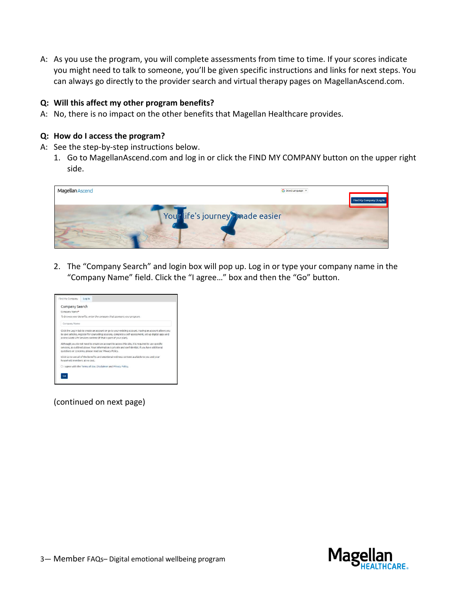A: As you use the program, you will complete assessments from time to time. If your scores indicate you might need to talk to someone, you'll be given specific instructions and links for next steps. You can always go directly to the provider search and virtual therapy pages on MagellanAscend.com.

#### **Q: Will this affect my other program benefits?**

A: No, there is no impact on the other benefits that Magellan Healthcare provides.

#### **Q: How do I access the program?**

- A: See the step-by-step instructions below.
	- 1. Go to MagellanAscend.com and log in or click the FIND MY COMPANY button on the upper right side.



2. The "Company Search" and login box will pop up. Log in or type your company name in the "Company Name" field. Click the "I agree…" box and then the "Go" button.



(continued on next page)

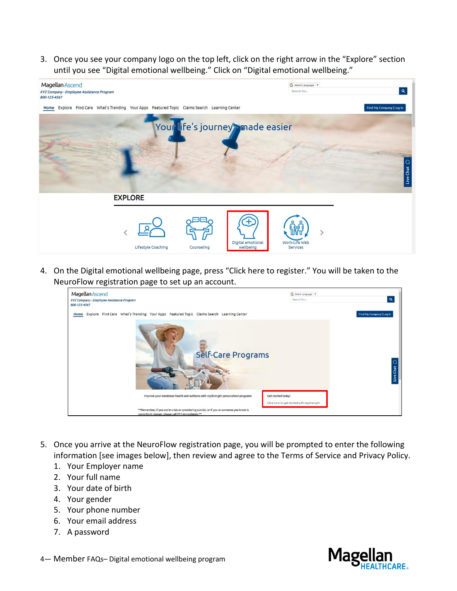3. Once you see your company logo on the top left, click on the right arrow in the "Explore" section until you see "Digital emotional wellbeing." Click on "Digital emotional wellbeing."



4. On the Digital emotional wellbeing page, press "Click here to register." You will be taken to the NeuroFlow registration page to set up an account.

| Magellan Ascend<br>XYZ Company - Employee Assistance Program<br>800-123-4567                                                                     | G Select Language   V<br>$\mathbf{a}$<br>Search for |
|--------------------------------------------------------------------------------------------------------------------------------------------------|-----------------------------------------------------|
| Home Explore Find Care What's Trending Your Apps Featured Topic Claims Search Learning Center                                                    | Find My Company   Log In                            |
| Self-Care Programs                                                                                                                               | Chat<br>Live                                        |
| Improve your emotional health and wellness with myStrength personalized programs                                                                 | Get started today!                                  |
| **Remember, if you are in crisis or considering suicide, or if you or someone you know is<br>currently in danger, please call 911 immediately.** | Click here to get started with myStrength.          |

- 5. Once you arrive at the NeuroFlow registration page, you will be prompted to enter the following information [see images below], then review and agree to the Terms of Service and Privacy Policy.
	- 1. Your Employer name
	- 2. Your full name
	- 3. Your date of birth
	- 4. Your gender
	- 5. Your phone number
	- 6. Your email address
	- 7. A password



4— Member FAQs– Digital emotional wellbeing program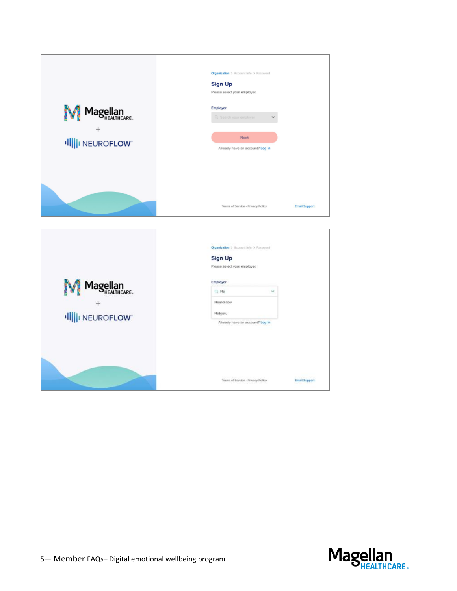

|               | Organization > Account little > Password<br><b>Sign Up</b><br>Please select your employer. |                      |
|---------------|--------------------------------------------------------------------------------------------|----------------------|
| Magellan      | Employer<br>Q. Ne<br>$\sim$                                                                |                      |
|               | NeuroFlow                                                                                  |                      |
| Ill NEUROFLOW | Netguru<br>Already have an account? Log in                                                 |                      |
|               |                                                                                            |                      |
|               | Terms of Service - Privacy Policy                                                          | <b>Email Support</b> |

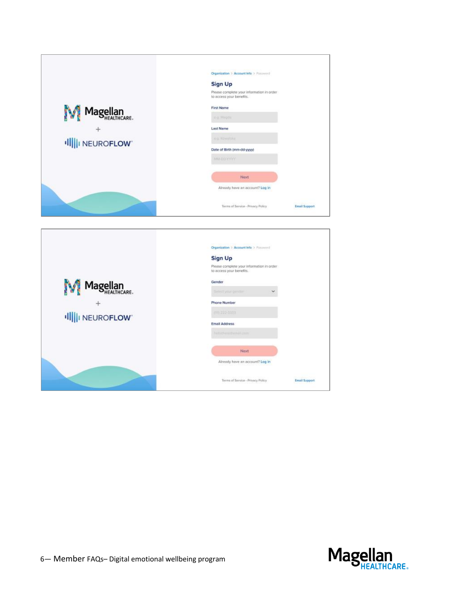|               | Organization > Account Info > Password                                |                      |  |  |
|---------------|-----------------------------------------------------------------------|----------------------|--|--|
|               | <b>Sign Up</b>                                                        |                      |  |  |
|               | Please complete your information in order<br>to access your benefits. |                      |  |  |
|               | <b>First Name</b>                                                     |                      |  |  |
| Magellan      | dig Megda                                                             |                      |  |  |
|               | <b>Last Name</b>                                                      |                      |  |  |
| Ill NEUROFLOW | In a Hawwillike.                                                      |                      |  |  |
|               | Date of Birth (mm-dd-yyyy)                                            |                      |  |  |
|               | MM DOWNY                                                              |                      |  |  |
|               | Next                                                                  |                      |  |  |
|               | Already have an account? Log in                                       |                      |  |  |
|               | Terms of Service - Privacy Policy                                     | <b>Email Support</b> |  |  |

| Organization > Account Info > Password                                |               |
|-----------------------------------------------------------------------|---------------|
| <b>Sign Up</b>                                                        |               |
| Please complete your information in order<br>to access your benefits. |               |
| Gender                                                                |               |
| Sielect your gentler<br>×                                             |               |
| Phone Number                                                          |               |
| 011222-3333                                                           |               |
| <b>Email Address</b>                                                  |               |
| hallidhese Evenil com-                                                |               |
| Next                                                                  |               |
| Already have an account? Log in                                       |               |
| Terms of Service - Privacy Policy                                     | Email Support |
|                                                                       |               |

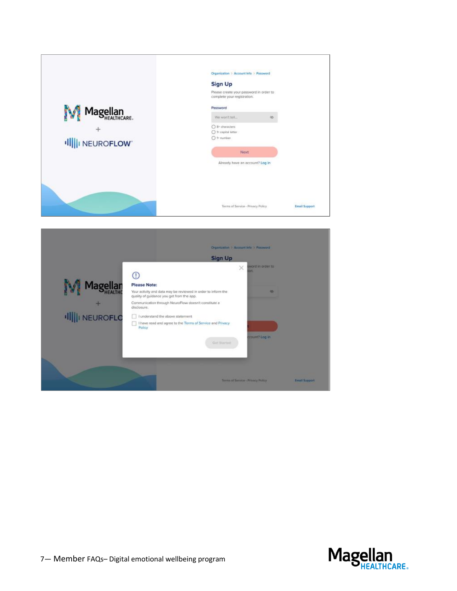| Magellan<br>Illi NEUROFLOW | Organization > Account Info > Password<br><b>Sign Up</b><br>Please create your password in order to<br>complete your registration.<br>Password<br>We won't fel<br>òğ)<br>Str characters<br>○ 1e capital letter<br>O 1 <sup>+</sup> number<br>Next<br>Already have an account? Log in |                      |
|----------------------------|--------------------------------------------------------------------------------------------------------------------------------------------------------------------------------------------------------------------------------------------------------------------------------------|----------------------|
|                            | Terms of Service - Privacy Policy                                                                                                                                                                                                                                                    | <b>Email Support</b> |

|                      | <b>Sign Up</b>                                                                                             |   |                           |  |
|----------------------|------------------------------------------------------------------------------------------------------------|---|---------------------------|--|
|                      |                                                                                                            | × | sword in order to<br>ión. |  |
|                      | Please Note:                                                                                               |   |                           |  |
| <b>Magellan</b>      | Your activity and data may be reviewed in order to inform the<br>quality of guidance you get from the app. |   | ቝ                         |  |
|                      | Communication through NeuroFlow doesn't constitute a<br>disclosure.                                        |   |                           |  |
| <b>Illi</b> NEUROFLO | I understand the above statement                                                                           |   |                           |  |
|                      | I have read and agree to the Terms of Service and Privacy<br>Policy                                        |   |                           |  |
|                      | Get Started                                                                                                |   | ccount? Log in            |  |
|                      |                                                                                                            |   |                           |  |